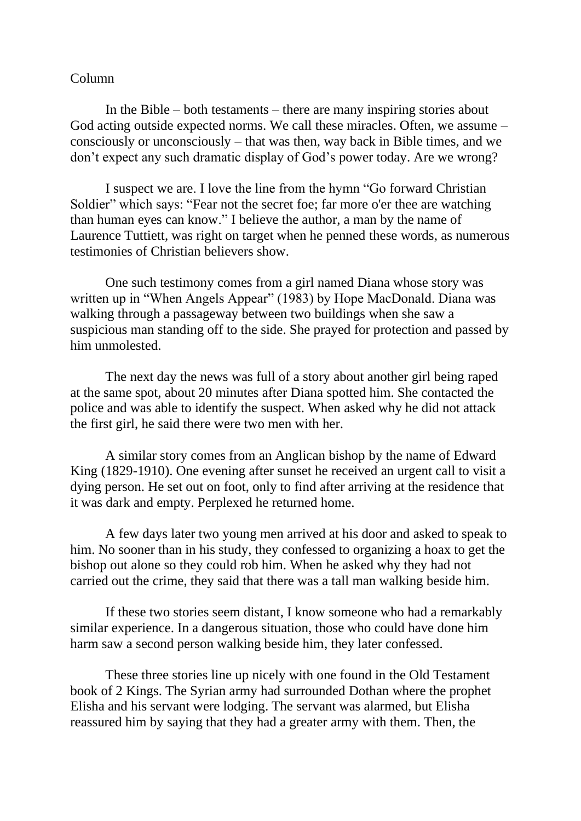## Column

In the Bible – both testaments – there are many inspiring stories about God acting outside expected norms. We call these miracles. Often, we assume – consciously or unconsciously – that was then, way back in Bible times, and we don't expect any such dramatic display of God's power today. Are we wrong?

I suspect we are. I love the line from the hymn "Go forward Christian Soldier" which says: "Fear not the secret foe; far more o'er thee are watching than human eyes can know." I believe the author, a man by the name of Laurence Tuttiett, was right on target when he penned these words, as numerous testimonies of Christian believers show.

One such testimony comes from a girl named Diana whose story was written up in "When Angels Appear" (1983) by Hope MacDonald. Diana was walking through a passageway between two buildings when she saw a suspicious man standing off to the side. She prayed for protection and passed by him unmolested.

The next day the news was full of a story about another girl being raped at the same spot, about 20 minutes after Diana spotted him. She contacted the police and was able to identify the suspect. When asked why he did not attack the first girl, he said there were two men with her.

A similar story comes from an Anglican bishop by the name of Edward King (1829-1910). One evening after sunset he received an urgent call to visit a dying person. He set out on foot, only to find after arriving at the residence that it was dark and empty. Perplexed he returned home.

A few days later two young men arrived at his door and asked to speak to him. No sooner than in his study, they confessed to organizing a hoax to get the bishop out alone so they could rob him. When he asked why they had not carried out the crime, they said that there was a tall man walking beside him.

If these two stories seem distant, I know someone who had a remarkably similar experience. In a dangerous situation, those who could have done him harm saw a second person walking beside him, they later confessed.

These three stories line up nicely with one found in the Old Testament book of 2 Kings. The Syrian army had surrounded Dothan where the prophet Elisha and his servant were lodging. The servant was alarmed, but Elisha reassured him by saying that they had a greater army with them. Then, the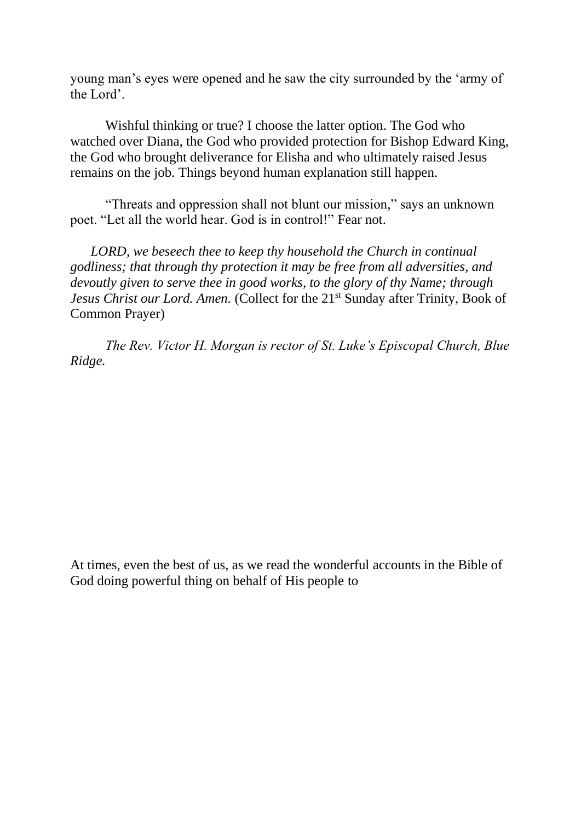young man's eyes were opened and he saw the city surrounded by the 'army of the Lord'.

Wishful thinking or true? I choose the latter option. The God who watched over Diana, the God who provided protection for Bishop Edward King, the God who brought deliverance for Elisha and who ultimately raised Jesus remains on the job. Things beyond human explanation still happen.

"Threats and oppression shall not blunt our mission," says an unknown poet. "Let all the world hear. God is in control!" Fear not.

 *LORD, we beseech thee to keep thy household the Church in continual godliness; that through thy protection it may be free from all adversities, and devoutly given to serve thee in good works, to the glory of thy Name; through Jesus Christ our Lord. Amen.* (Collect for the 21<sup>st</sup> Sunday after Trinity, Book of Common Prayer)

*The Rev. Victor H. Morgan is rector of St. Luke's Episcopal Church, Blue Ridge.*

At times, even the best of us, as we read the wonderful accounts in the Bible of God doing powerful thing on behalf of His people to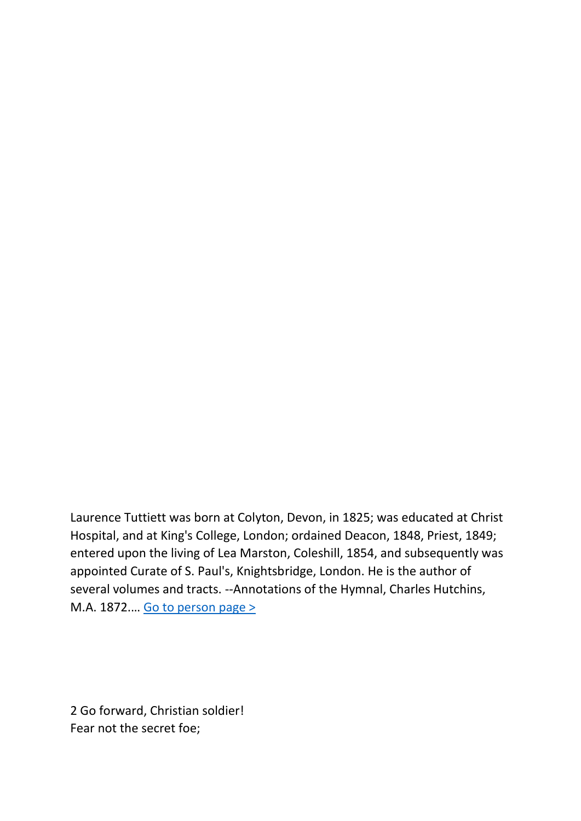Laurence Tuttiett was born at Colyton, Devon, in 1825; was educated at Christ Hospital, and at King's College, London; ordained Deacon, 1848, Priest, 1849; entered upon the living of Lea Marston, Coleshill, 1854, and subsequently was appointed Curate of S. Paul's, Knightsbridge, London. He is the author of several volumes and tracts. --Annotations of the Hymnal, Charles Hutchins, M.A. 1872.… [Go to person page >](https://hymnary.org/person/Tuttiett_L)

2 Go forward, Christian soldier! Fear not the secret foe;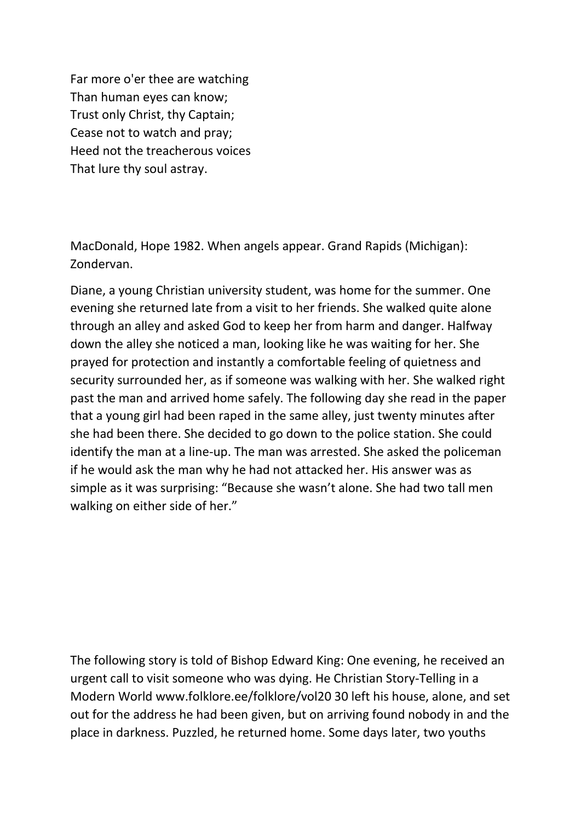Far more o'er thee are watching Than human eyes can know; Trust only Christ, thy Captain; Cease not to watch and pray; Heed not the treacherous voices That lure thy soul astray.

MacDonald, Hope 1982. When angels appear. Grand Rapids (Michigan): Zondervan.

Diane, a young Christian university student, was home for the summer. One evening she returned late from a visit to her friends. She walked quite alone through an alley and asked God to keep her from harm and danger. Halfway down the alley she noticed a man, looking like he was waiting for her. She prayed for protection and instantly a comfortable feeling of quietness and security surrounded her, as if someone was walking with her. She walked right past the man and arrived home safely. The following day she read in the paper that a young girl had been raped in the same alley, just twenty minutes after she had been there. She decided to go down to the police station. She could identify the man at a line-up. The man was arrested. She asked the policeman if he would ask the man why he had not attacked her. His answer was as simple as it was surprising: "Because she wasn't alone. She had two tall men walking on either side of her."

The following story is told of Bishop Edward King: One evening, he received an urgent call to visit someone who was dying. He Christian Story-Telling in a Modern World www.folklore.ee/folklore/vol20 30 left his house, alone, and set out for the address he had been given, but on arriving found nobody in and the place in darkness. Puzzled, he returned home. Some days later, two youths